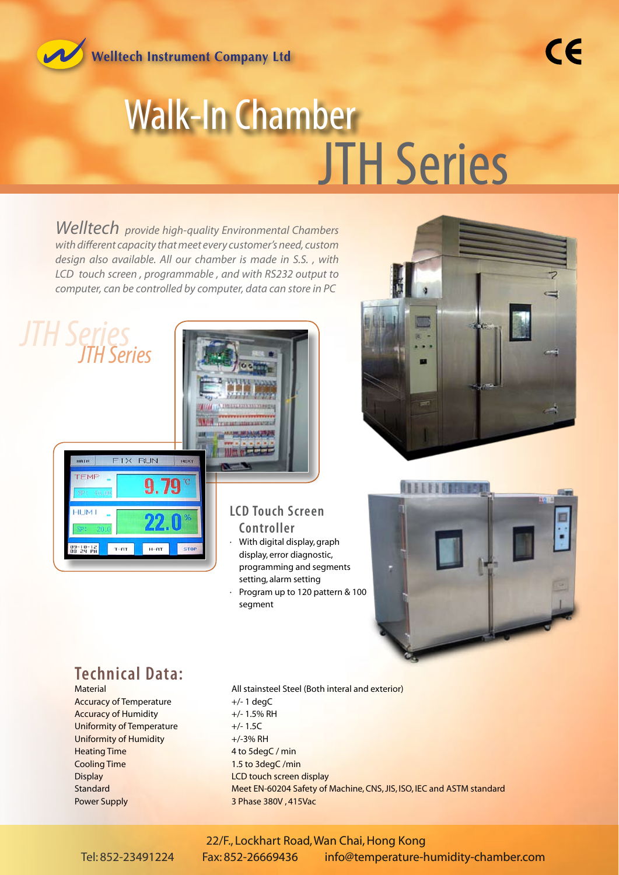Welltech Instrument Company Ltd



## Walk-In Chamber **JTH Series**

*Welltech provide high-quality Environmental Chambers with different capacity that meet every customer's need, custom design also available. All our chamber is made in S.S. , with LCD touch screen , programmable , and with RS232 output to computer, can be controlled by computer, data can store in PC*

## *JTH Series JTH Series*

mun **TEM** 

 $H$ ,  $H$ <sub>2</sub>

 $09-10-12$ 



**LCD Touch Screen Controller**

segment

· With digital display, graph display, error diagnostic, programming and segments setting, alarm setting

Program up to 120 pattern & 100





## **Technical Data:**

FIX RUN

 $T-RT$ 

 $\mathbf{q}$ 

 $H-RT$ 

510

Accuracy of Temperature +/-1 degC Accuracy of Humidity  $+/- 1.5\%$  RH Uniformity of Temperature  $+/- 1.5C$ Uniformity of Humidity  $+/-3%$  RH Heating Time 4 to 5degC / min **Cooling Time 1.5 to 3degC /min Display LCD touch screen display** Power Supply 3 Phase 380V, 415Vac

# All stainsteel Steel (Both interal and exterior) Standard Meet EN-60204 Safety of Machine, CNS, JIS, ISO, IEC and ASTM standard

#### 22/F., Lockhart Road, Wan Chai, Hong Kong Tel: 852-23491224 Fax: 852-26669436 info@temperature-humidity-chamber.com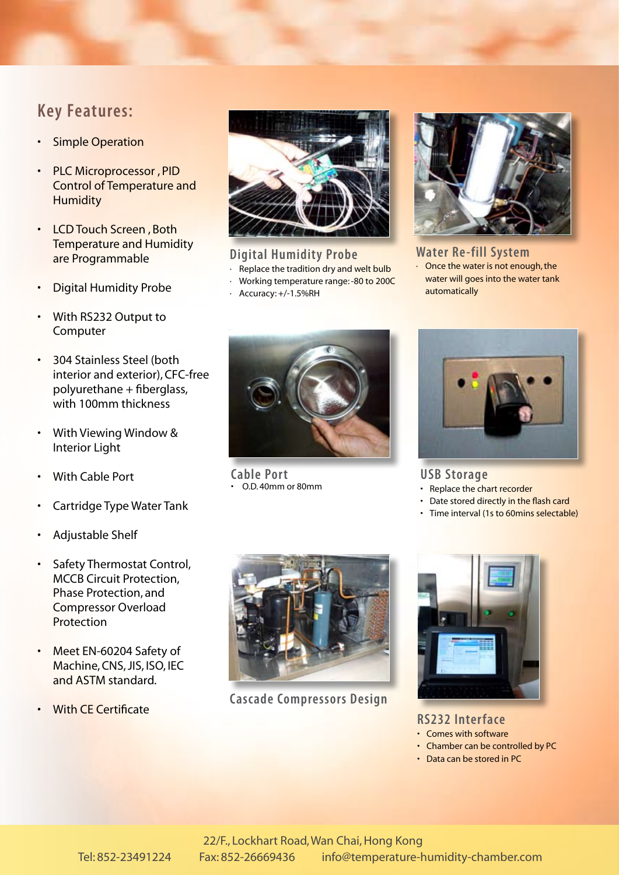### **Key Features:**

- Simple Operation
- PLC Microprocessor , PID Control of Temperature and **Humidity**
- LCD Touch Screen , Both Temperature and Humidity are Programmable
- Digital Humidity Probe
- With RS232 Output to Computer
- 304 Stainless Steel (both interior and exterior), CFC-free polyurethane + fiberglass, with 100mm thickness
- With Viewing Window & Interior Light
- With Cable Port
- Cartridge Type Water Tank
- Adjustable Shelf
- Safety Thermostat Control, MCCB Circuit Protection, Phase Protection, and Compressor Overload Protection
- Meet EN-60204 Safety of Machine, CNS, JIS, ISO, IEC and ASTM standard.
- With CE Certificate



#### **Digital Humidity Probe**

- Replace the tradition dry and welt bulb
- · Working temperature range: -80 to 200C
- Accuracy: +/-1.5%RH



#### **Water Re-fill System** · Once the water is not enough, the

water will goes into the water tank automatically



**Cable Port** • O.D. 40mm or 80mm



#### **USB Storage**

- Replace the chart recorder
- Date stored directly in the flash card
- Time interval (1s to 60mins selectable)



**Cascade Compressors Design**



**RS232 Interface**

- Comes with software
- Chamber can be controlled by PC
- Data can be stored in PC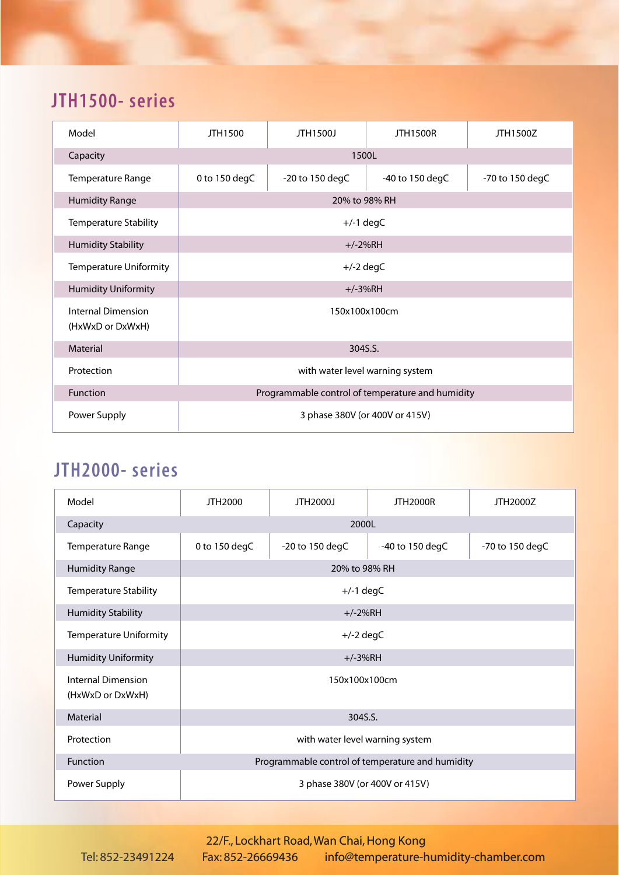## **JTH1500- series**

| Model                                         | JTH1500                                          | JTH1500J        | <b>JTH1500R</b> | JTH1500Z        |
|-----------------------------------------------|--------------------------------------------------|-----------------|-----------------|-----------------|
| Capacity                                      | 1500L                                            |                 |                 |                 |
| <b>Temperature Range</b>                      | 0 to 150 degC                                    | -20 to 150 degC | -40 to 150 degC | -70 to 150 degC |
| <b>Humidity Range</b>                         | 20% to 98% RH                                    |                 |                 |                 |
| <b>Temperature Stability</b>                  | $+/-1$ degC                                      |                 |                 |                 |
| <b>Humidity Stability</b>                     | $+/-2%RH$                                        |                 |                 |                 |
| <b>Temperature Uniformity</b>                 | $+/-2$ degC                                      |                 |                 |                 |
| <b>Humidity Uniformity</b>                    | $+/-3%RH$                                        |                 |                 |                 |
| <b>Internal Dimension</b><br>(HxWxD or DxWxH) | 150x100x100cm                                    |                 |                 |                 |
| Material                                      | 304S.S.                                          |                 |                 |                 |
| Protection                                    | with water level warning system                  |                 |                 |                 |
| Function                                      | Programmable control of temperature and humidity |                 |                 |                 |
| Power Supply                                  | 3 phase 380V (or 400V or 415V)                   |                 |                 |                 |

## **JTH2000- series**

| Model                                         | JTH2000                                          | JTH2000J        | <b>JTH2000R</b> | JTH2000Z        |
|-----------------------------------------------|--------------------------------------------------|-----------------|-----------------|-----------------|
| Capacity                                      | 2000L                                            |                 |                 |                 |
| Temperature Range                             | 0 to 150 degC                                    | -20 to 150 degC | -40 to 150 degC | -70 to 150 degC |
| <b>Humidity Range</b>                         | 20% to 98% RH                                    |                 |                 |                 |
| <b>Temperature Stability</b>                  | $+/-1$ degC                                      |                 |                 |                 |
| <b>Humidity Stability</b>                     | $+/-2%RH$                                        |                 |                 |                 |
| <b>Temperature Uniformity</b>                 | $+/-2$ degC                                      |                 |                 |                 |
| <b>Humidity Uniformity</b>                    | $+/-3%RH$                                        |                 |                 |                 |
| <b>Internal Dimension</b><br>(HxWxD or DxWxH) | 150x100x100cm                                    |                 |                 |                 |
| Material                                      | 304S.S.                                          |                 |                 |                 |
| Protection                                    | with water level warning system                  |                 |                 |                 |
| <b>Function</b>                               | Programmable control of temperature and humidity |                 |                 |                 |
| Power Supply                                  | 3 phase 380V (or 400V or 415V)                   |                 |                 |                 |

#### 22/F., Lockhart Road, Wan Chai, Hong Kong Tel: 852-23491224 Fax: 852-26669436 info@temperature-humidity-chamber.com